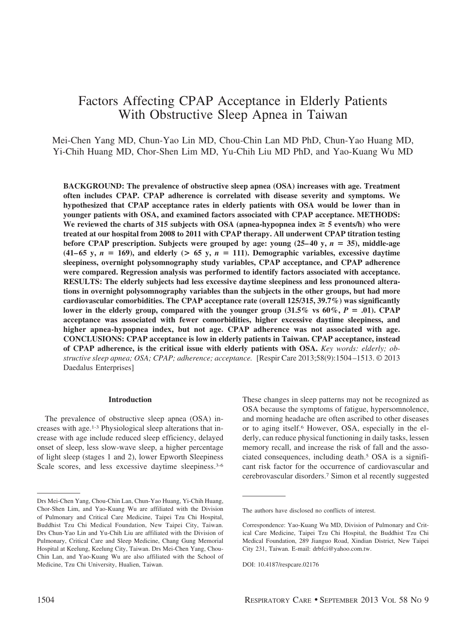# Factors Affecting CPAP Acceptance in Elderly Patients With Obstructive Sleep Apnea in Taiwan

Mei-Chen Yang MD, Chun-Yao Lin MD, Chou-Chin Lan MD PhD, Chun-Yao Huang MD, Yi-Chih Huang MD, Chor-Shen Lim MD, Yu-Chih Liu MD PhD, and Yao-Kuang Wu MD

**BACKGROUND: The prevalence of obstructive sleep apnea (OSA) increases with age. Treatment often includes CPAP. CPAP adherence is correlated with disease severity and symptoms. We hypothesized that CPAP acceptance rates in elderly patients with OSA would be lower than in younger patients with OSA, and examined factors associated with CPAP acceptance. METHODS:** We reviewed the charts of 315 subjects with OSA (apnea-hypopnea index  $\geq$  5 events/h) who were **treated at our hospital from 2008 to 2011 with CPAP therapy. All underwent CPAP titration testing** before CPAP prescription. Subjects were grouped by age: young  $(25-40 \text{ y}, n = 35)$ , middle-age  $(41-65 \text{ y}, n = 169)$ , and elderly  $(> 65 \text{ y}, n = 111)$ . Demographic variables, excessive daytime **sleepiness, overnight polysomnography study variables, CPAP acceptance, and CPAP adherence were compared. Regression analysis was performed to identify factors associated with acceptance. RESULTS: The elderly subjects had less excessive daytime sleepiness and less pronounced alterations in overnight polysomnography variables than the subjects in the other groups, but had more cardiovascular comorbidities. The CPAP acceptance rate (overall 125/315, 39.7%) was significantly** lower in the elderly group, compared with the younger group  $(31.5\% \text{ vs } 60\%, P = .01)$ . CPAP **acceptance was associated with fewer comorbidities, higher excessive daytime sleepiness, and higher apnea-hypopnea index, but not age. CPAP adherence was not associated with age. CONCLUSIONS: CPAP acceptance is low in elderly patients in Taiwan. CPAP acceptance, instead of CPAP adherence, is the critical issue with elderly patients with OSA.** *Key words: elderly; obstructive sleep apnea; OSA; CPAP; adherence; acceptance.* [Respir Care 2013;58(9):1504 –1513. © 2013 Daedalus Enterprises]

# **Introduction**

The prevalence of obstructive sleep apnea (OSA) increases with age.1-3 Physiological sleep alterations that increase with age include reduced sleep efficiency, delayed onset of sleep, less slow-wave sleep, a higher percentage of light sleep (stages 1 and 2), lower Epworth Sleepiness Scale scores, and less excessive daytime sleepiness.<sup>3-6</sup> These changes in sleep patterns may not be recognized as OSA because the symptoms of fatigue, hypersomnolence, and morning headache are often ascribed to other diseases or to aging itself.6 However, OSA, especially in the elderly, can reduce physical functioning in daily tasks, lessen memory recall, and increase the risk of fall and the associated consequences, including death.5 OSA is a significant risk factor for the occurrence of cardiovascular and cerebrovascular disorders.7 Simon et al recently suggested

Drs Mei-Chen Yang, Chou-Chin Lan, Chun-Yao Huang, Yi-Chih Huang, Chor-Shen Lim, and Yao-Kuang Wu are affiliated with the Division of Pulmonary and Critical Care Medicine, Taipei Tzu Chi Hospital, Buddhist Tzu Chi Medical Foundation, New Taipei City, Taiwan. Drs Chun-Yao Lin and Yu-Chih Liu are affiliated with the Division of Pulmonary, Critical Care and Sleep Medicine, Chang Gung Memorial Hospital at Keelung, Keelung City, Taiwan. Drs Mei-Chen Yang, Chou-Chin Lan, and Yao-Kuang Wu are also affiliated with the School of Medicine, Tzu Chi University, Hualien, Taiwan.

The authors have disclosed no conflicts of interest.

Correspondence: Yao-Kuang Wu MD, Division of Pulmonary and Critical Care Medicine, Taipei Tzu Chi Hospital, the Buddhist Tzu Chi Medical Foundation, 289 Jianguo Road, Xindian District, New Taipei City 231, Taiwan. E-mail: drbfci@yahoo.com.tw.

DOI: 10.4187/respcare.02176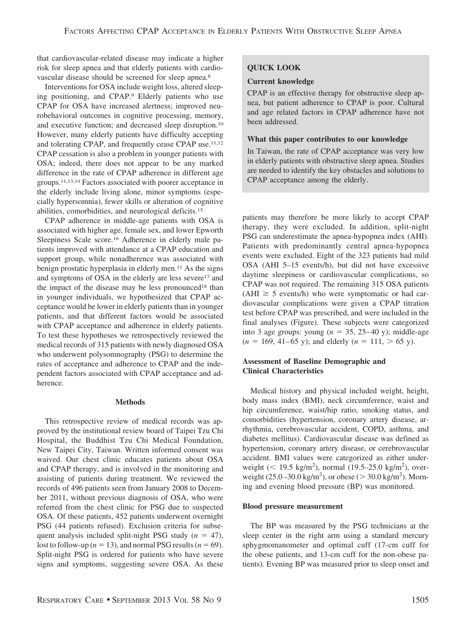that cardiovascular-related disease may indicate a higher risk for sleep apnea and that elderly patients with cardiovascular disease should be screened for sleep apnea.8

Interventions for OSA include weight loss, altered sleeping positioning, and CPAP.9 Elderly patients who use CPAP for OSA have increased alertness; improved neurobehavioral outcomes in cognitive processing, memory, and executive function; and decreased sleep disruption.10 However, many elderly patients have difficulty accepting and tolerating CPAP, and frequently cease CPAP use.11,12 CPAP cessation is also a problem in younger patients with OSA; indeed, there does not appear to be any marked difference in the rate of CPAP adherence in different age groups.11,13,14 Factors associated with poorer acceptance in the elderly include living alone, minor symptoms (especially hypersomnia), fewer skills or alteration of cognitive abilities, comorbidities, and neurological deficits.15

CPAP adherence in middle-age patients with OSA is associated with higher age, female sex, and lower Epworth Sleepiness Scale score.<sup>16</sup> Adherence in elderly male patients improved with attendance at a CPAP education and support group, while nonadherence was associated with benign prostatic hyperplasia in elderly men.<sup>11</sup> As the signs and symptoms of OSA in the elderly are less severe<sup>17</sup> and the impact of the disease may be less pronounced<sup>18</sup> than in younger individuals, we hypothesized that CPAP acceptance would be lower in elderly patients than in younger patients, and that different factors would be associated with CPAP acceptance and adherence in elderly patients. To test these hypotheses we retrospectively reviewed the medical records of 315 patients with newly diagnosed OSA who underwent polysomnography (PSG) to determine the rates of acceptance and adherence to CPAP and the independent factors associated with CPAP acceptance and adherence.

#### **Methods**

This retrospective review of medical records was approved by the institutional review board of Taipei Tzu Chi Hospital, the Buddhist Tzu Chi Medical Foundation, New Taipei City, Taiwan. Written informed consent was waived. Our chest clinic educates patients about OSA and CPAP therapy, and is involved in the monitoring and assisting of patients during treatment. We reviewed the records of 496 patients seen from January 2008 to December 2011, without previous diagnosis of OSA, who were referred from the chest clinic for PSG due to suspected OSA. Of these patients, 452 patients underwent overnight PSG (44 patients refused). Exclusion criteria for subsequent analysis included split-night PSG study  $(n = 47)$ , lost to follow-up ( $n = 13$ ), and normal PSG results ( $n = 69$ ). Split-night PSG is ordered for patients who have severe signs and symptoms, suggesting severe OSA. As these

# **QUICK LOOK**

# **Current knowledge**

CPAP is an effective therapy for obstructive sleep apnea, but patient adherence to CPAP is poor. Cultural and age related factors in CPAP adherence have not been addressed.

## **What this paper contributes to our knowledge**

In Taiwan, the rate of CPAP acceptance was very low in elderly patients with obstructive sleep apnea. Studies are needed to identify the key obstacles and solutions to CPAP acceptance among the elderly.

patients may therefore be more likely to accept CPAP therapy, they were excluded. In addition, split-night PSG can underestimate the apnea-hypopnea index (AHI). Patients with predominantly central apnea-hypopnea events were excluded. Eight of the 323 patients had mild OSA (AHI 5–15 events/h), but did not have excessive daytime sleepiness or cardiovascular complications, so CPAP was not required. The remaining 315 OSA patients  $(AHI \ge 5$  events/h) who were symptomatic or had cardiovascular complications were given a CPAP titration test before CPAP was prescribed, and were included in the final analyses (Figure). These subjects were categorized into 3 age groups: young  $(n = 35, 25-40)$  y; middle-age  $(n = 169, 41-65 \text{ y})$ ; and elderly  $(n = 111, > 65 \text{ y})$ .

# **Assessment of Baseline Demographic and Clinical Characteristics**

Medical history and physical included weight, height, body mass index (BMI), neck circumference, waist and hip circumference, waist/hip ratio, smoking status, and comorbidities (hypertension, coronary artery disease, arrhythmia, cerebrovascular accident, COPD, asthma, and diabetes mellitus). Cardiovascular disease was defined as hypertension, coronary artery disease, or cerebrovascular accident. BMI values were categorized as either underweight ( $\leq 19.5$  kg/m<sup>2</sup>), normal (19.5–25.0 kg/m<sup>2</sup>), overweight  $(25.0 - 30.0 \text{ kg/m}^2)$ , or obese ( $> 30.0 \text{ kg/m}^2$ ). Morning and evening blood pressure (BP) was monitored.

# **Blood pressure measurement**

The BP was measured by the PSG technicians at the sleep center in the right arm using a standard mercury sphygmomanometer and optimal cuff (17-cm cuff for the obese patients, and 13-cm cuff for the non-obese patients). Evening BP was measured prior to sleep onset and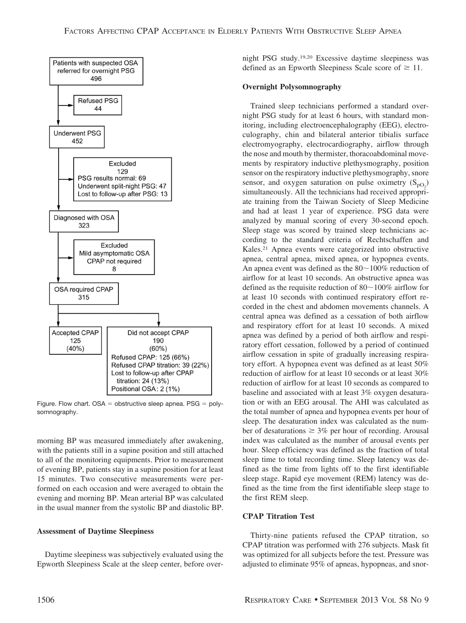

Figure. Flow chart.  $OSA =$  obstructive sleep apnea.  $PSG =$  polysomnography.

morning BP was measured immediately after awakening, with the patients still in a supine position and still attached to all of the monitoring equipments. Prior to measurement of evening BP, patients stay in a supine position for at least 15 minutes. Two consecutive measurements were performed on each occasion and were averaged to obtain the evening and morning BP. Mean arterial BP was calculated in the usual manner from the systolic BP and diastolic BP.

### **Assessment of Daytime Sleepiness**

Daytime sleepiness was subjectively evaluated using the Epworth Sleepiness Scale at the sleep center, before overnight PSG study.19,20 Excessive daytime sleepiness was defined as an Epworth Sleepiness Scale score of  $\geq 11$ .

# **Overnight Polysomnography**

Trained sleep technicians performed a standard overnight PSG study for at least 6 hours, with standard monitoring, including electroencephalography (EEG), electroculography, chin and bilateral anterior tibialis surface electromyography, electrocardiography, airflow through the nose and mouth by thermister, thoracoabdominal movements by respiratory inductive plethysmography, position sensor on the respiratory inductive plethysmography, snore sensor, and oxygen saturation on pulse oximetry  $(S_{pQ_2})$ simultaneously. All the technicians had received appropriate training from the Taiwan Society of Sleep Medicine and had at least 1 year of experience. PSG data were analyzed by manual scoring of every 30-second epoch. Sleep stage was scored by trained sleep technicians according to the standard criteria of Rechtschaffen and Kales.21 Apnea events were categorized into obstructive apnea, central apnea, mixed apnea, or hypopnea events. An apnea event was defined as the  $80~100\%$  reduction of airflow for at least 10 seconds. An obstructive apnea was defined as the requisite reduction of  $80~100\%$  airflow for at least 10 seconds with continued respiratory effort recorded in the chest and abdomen movements channels. A central apnea was defined as a cessation of both airflow and respiratory effort for at least 10 seconds. A mixed apnea was defined by a period of both airflow and respiratory effort cessation, followed by a period of continued airflow cessation in spite of gradually increasing respiratory effort. A hypopnea event was defined as at least 50% reduction of airflow for at least 10 seconds or at least 30% reduction of airflow for at least 10 seconds as compared to baseline and associated with at least 3% oxygen desaturation or with an EEG arousal. The AHI was calculated as the total number of apnea and hypopnea events per hour of sleep. The desaturation index was calculated as the number of desaturations  $\geq 3\%$  per hour of recording. Arousal index was calculated as the number of arousal events per hour. Sleep efficiency was defined as the fraction of total sleep time to total recording time. Sleep latency was defined as the time from lights off to the first identifiable sleep stage. Rapid eye movement (REM) latency was defined as the time from the first identifiable sleep stage to the first REM sleep.

### **CPAP Titration Test**

Thirty-nine patients refused the CPAP titration, so CPAP titration was performed with 276 subjects. Mask fit was optimized for all subjects before the test. Pressure was adjusted to eliminate 95% of apneas, hypopneas, and snor-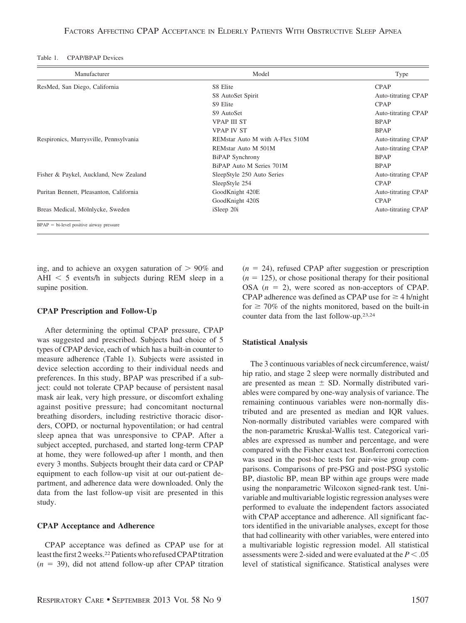| Table 1. | <b>CPAP/BPAP</b> Devices |  |
|----------|--------------------------|--|
|----------|--------------------------|--|

| Manufacturer                               | Model                           | Type                |
|--------------------------------------------|---------------------------------|---------------------|
| ResMed, San Diego, California              | S8 Elite                        | <b>CPAP</b>         |
|                                            | S8 AutoSet Spirit               | Auto-titrating CPAP |
|                                            | S9 Elite                        | <b>CPAP</b>         |
|                                            | S9 AutoSet                      | Auto-titrating CPAP |
|                                            | <b>VPAP III ST</b>              | <b>BPAP</b>         |
|                                            | <b>VPAP IV ST</b>               | <b>BPAP</b>         |
| Respironics, Murrysville, Pennsylvania     | REMstar Auto M with A-Flex 510M | Auto-titrating CPAP |
|                                            | REMstar Auto M 501M             | Auto-titrating CPAP |
|                                            | BiPAP Synchrony                 | <b>BPAP</b>         |
|                                            | BiPAP Auto M Series 701M        | <b>BPAP</b>         |
| Fisher & Paykel, Auckland, New Zealand     | SleepStyle 250 Auto Series      | Auto-titrating CPAP |
|                                            | SleepStyle 254                  | <b>CPAP</b>         |
| Puritan Bennett, Pleasanton, California    | GoodKnight 420E                 | Auto-titrating CPAP |
|                                            | GoodKnight 420S                 | <b>CPAP</b>         |
| Breas Medical, Mölnlycke, Sweden           | iSleep 20i                      | Auto-titrating CPAP |
| $BPAP = bi-level positive airway pressure$ |                                 |                     |

ing, and to achieve an oxygen saturation of  $> 90\%$  and AHI  $<$  5 events/h in subjects during REM sleep in a supine position.

#### **CPAP Prescription and Follow-Up**

After determining the optimal CPAP pressure, CPAP was suggested and prescribed. Subjects had choice of 5 types of CPAP device, each of which has a built-in counter to measure adherence (Table 1). Subjects were assisted in device selection according to their individual needs and preferences. In this study, BPAP was prescribed if a subject: could not tolerate CPAP because of persistent nasal mask air leak, very high pressure, or discomfort exhaling against positive pressure; had concomitant nocturnal breathing disorders, including restrictive thoracic disorders, COPD, or nocturnal hypoventilation; or had central sleep apnea that was unresponsive to CPAP. After a subject accepted, purchased, and started long-term CPAP at home, they were followed-up after 1 month, and then every 3 months. Subjects brought their data card or CPAP equipment to each follow-up visit at our out-patient department, and adherence data were downloaded. Only the data from the last follow-up visit are presented in this study.

## **CPAP Acceptance and Adherence**

CPAP acceptance was defined as CPAP use for at least the first 2 weeks.<sup>22</sup> Patients who refused CPAP titration  $(n = 39)$ , did not attend follow-up after CPAP titration  $(n = 24)$ , refused CPAP after suggestion or prescription  $(n = 125)$ , or chose positional therapy for their positional OSA  $(n = 2)$ , were scored as non-acceptors of CPAP. CPAP adherence was defined as CPAP use for  $\geq 4$  h/night for  $\geq 70\%$  of the nights monitored, based on the built-in counter data from the last follow-up.23,24

### **Statistical Analysis**

The 3 continuous variables of neck circumference, waist/ hip ratio, and stage 2 sleep were normally distributed and are presented as mean  $\pm$  SD. Normally distributed variables were compared by one-way analysis of variance. The remaining continuous variables were non-normally distributed and are presented as median and IQR values. Non-normally distributed variables were compared with the non-parametric Kruskal-Wallis test. Categorical variables are expressed as number and percentage, and were compared with the Fisher exact test. Bonferroni correction was used in the post-hoc tests for pair-wise group comparisons. Comparisons of pre-PSG and post-PSG systolic BP, diastolic BP, mean BP within age groups were made using the nonparametric Wilcoxon signed-rank test. Univariable and multivariable logistic regression analyses were performed to evaluate the independent factors associated with CPAP acceptance and adherence. All significant factors identified in the univariable analyses, except for those that had collinearity with other variables, were entered into a multivariable logistic regression model. All statistical assessments were 2-sided and were evaluated at the  $P < .05$ level of statistical significance. Statistical analyses were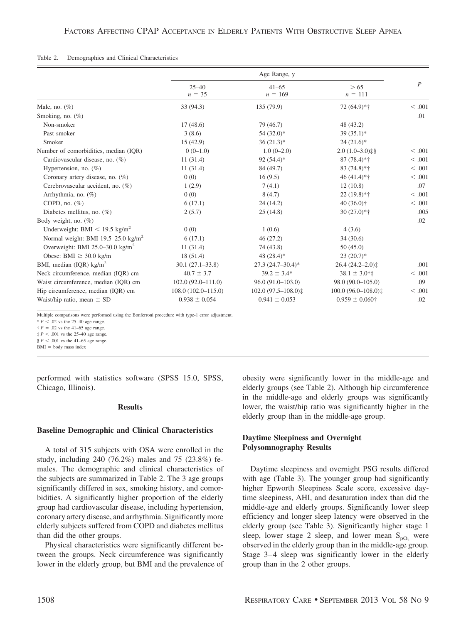#### Table 2. Demographics and Clinical Characteristics

|                                                |                        | Age Range, y           |                               |                  |
|------------------------------------------------|------------------------|------------------------|-------------------------------|------------------|
|                                                | $25 - 40$<br>$n = 35$  | $41 - 65$<br>$n = 169$ | > 65<br>$n = 111$             | $\boldsymbol{P}$ |
| Male, no. $(\%)$                               | 33 (94.3)              | 135 (79.9)             | 72 (64.9)*†                   | < .001           |
| Smoking, no. $(\%)$                            |                        |                        |                               | .01              |
| Non-smoker                                     | 17(48.6)               | 79 (46.7)              | 48(43.2)                      |                  |
| Past smoker                                    | 3(8.6)                 | $54(32.0)*$            | $39(35.1)$ *                  |                  |
| Smoker                                         | 15(42.9)               | $36(21.3)*$            | $24(21.6)^*$                  |                  |
| Number of comorbidities, median (IQR)          | $0(0-1.0)$             | $1.0(0-2.0)$           | $2.0(1.0-3.0)$ $\frac{18}{5}$ | < 0.001          |
| Cardiovascular disease, no. (%)                | 11(31.4)               | $92(54.4)$ *           | $87(78.4)*{\dagger}$          | < .001           |
| Hypertension, no. $(\%)$                       | 11(31.4)               | 84 (49.7)              | $83(74.8)*{\dagger}$          | < .001           |
| Coronary artery disease, no. $(\%)$            | 0(0)                   | 16(9.5)                | $46(41.4)*{\dagger}$          | < 0.001          |
| Cerebrovascular accident, no. (%)              | 1(2.9)                 | 7(4.1)                 | 12(10.8)                      | .07              |
| Arrhythmia, no. $(\%)$                         | 0(0)                   | 8(4.7)                 | $22(19.8)*†$                  | < .001           |
| COPD, no. $(\%)$                               | 6(17.1)                | 24(14.2)               | $40(36.0)$ †                  | < .001           |
| Diabetes mellitus, no. $(\%)$                  | 2(5.7)                 | 25(14.8)               | $30(27.0)*{\dagger}$          | .005             |
| Body weight, no. $(\%)$                        |                        |                        |                               | .02              |
| Underweight: BMI $\leq$ 19.5 kg/m <sup>2</sup> | 0(0)                   | 1(0.6)                 | 4(3.6)                        |                  |
| Normal weight: BMI 19.5-25.0 $\text{kg/m}^2$   | 6(17.1)                | 46(27.2)               | 34(30.6)                      |                  |
| Overweight: BMI 25.0-30.0 $\text{kg/m}^2$      | 11(31.4)               | 74 (43.8)              | 50(45.0)                      |                  |
| Obese: BMI $\geq$ 30.0 kg/m                    | 18(51.4)               | 48 $(28.4)$ *          | $23(20.7)$ *                  |                  |
| BMI, median (IQR) $\text{kg/m}^2$              | $30.1(27.1 - 33.8)$    | $27.3(24.7-30.4)$ *    | $26.4(24.2 - 2.0)$            | .001             |
| Neck circumference, median (IQR) cm            | $40.7 \pm 3.7$         | $39.2 \pm 3.4*$        | $38.1 \pm 3.0$ †‡             | < .001           |
| Waist circumference, median (IOR) cm           | $102.0(92.0 - 111.0)$  | $96.0(91.0-103.0)$     | 98.0 (90.0-105.0)             | .09              |
| Hip circumference, median (IQR) cm             | $108.0(102.0 - 115.0)$ | $102.0(97.5-108.0)$ ‡  | $100.0(96.0-108.0)$ #         | < .001           |
| Waist/hip ratio, mean $\pm$ SD                 | $0.938 \pm 0.054$      | $0.941 \pm 0.053$      | $0.959 \pm 0.060$ †           | .02              |

Multiple comparisons were performed using the Bonferroni procedure with type-1 error adjustment.

 $* P < .02$  vs the 25–40 age range.

 $\uparrow$  *P* = .02 vs the 41–65 age range.

 $\frac{1}{3}P < .001$  vs the 25–40 age range.

 $§$  *P* < .001 vs the 41–65 age range.

 $BMI = body$  mass index

performed with statistics software (SPSS 15.0, SPSS, Chicago, Illinois).

# **Results**

# **Baseline Demographic and Clinical Characteristics**

A total of 315 subjects with OSA were enrolled in the study, including 240 (76.2%) males and 75 (23.8%) females. The demographic and clinical characteristics of the subjects are summarized in Table 2. The 3 age groups significantly differed in sex, smoking history, and comorbidities. A significantly higher proportion of the elderly group had cardiovascular disease, including hypertension, coronary artery disease, and arrhythmia. Significantly more elderly subjects suffered from COPD and diabetes mellitus than did the other groups.

Physical characteristics were significantly different between the groups. Neck circumference was significantly lower in the elderly group, but BMI and the prevalence of obesity were significantly lower in the middle-age and elderly groups (see Table 2). Although hip circumference in the middle-age and elderly groups was significantly lower, the waist/hip ratio was significantly higher in the elderly group than in the middle-age group.

# **Daytime Sleepiness and Overnight Polysomnography Results**

Daytime sleepiness and overnight PSG results differed with age (Table 3). The younger group had significantly higher Epworth Sleepiness Scale score, excessive daytime sleepiness, AHI, and desaturation index than did the middle-age and elderly groups. Significantly lower sleep efficiency and longer sleep latency were observed in the elderly group (see Table 3). Significantly higher stage 1 sleep, lower stage 2 sleep, and lower mean  $S_{pQ}$  were observed in the elderly group than in the middle-age group. Stage 3–4 sleep was significantly lower in the elderly group than in the 2 other groups.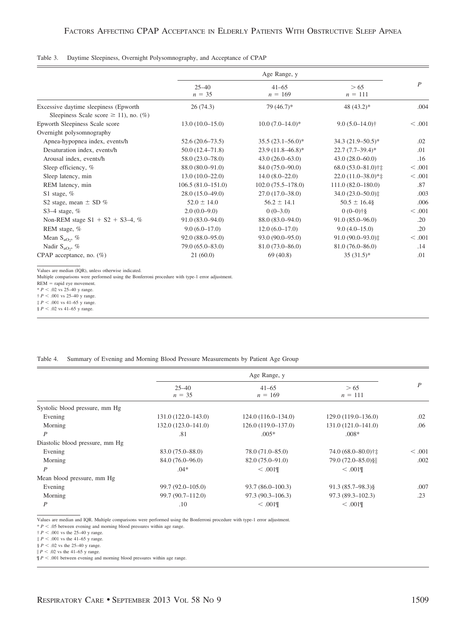#### Table 3. Daytime Sleepiness, Overnight Polysomnography, and Acceptance of CPAP

|                                                                                      | Age Range, y          |                        |                                    |                |  |
|--------------------------------------------------------------------------------------|-----------------------|------------------------|------------------------------------|----------------|--|
|                                                                                      | $25 - 40$<br>$n = 35$ | $41 - 65$<br>$n = 169$ | > 65<br>$n = 111$                  | $\overline{P}$ |  |
| Excessive daytime sleepiness (Epworth)<br>Sleepiness Scale score $\geq$ 11), no. (%) | 26(74.3)              | $79(46.7)$ *           | 48 $(43.2)$ *                      | .004           |  |
| Epworth Sleepiness Scale score                                                       | $13.0(10.0-15.0)$     | $10.0 (7.0 - 14.0)^*$  | $9.0(5.0-14.0)$ †                  | < 0.001        |  |
| Overnight polysomnography                                                            |                       |                        |                                    |                |  |
| Apnea-hypopnea index, events/h                                                       | $52.6(20.6 - 73.5)$   | $35.5(23.1 - 56.0)^*$  | $34.3 (21.9 - 50.5)^*$             | .02            |  |
| Desaturation index, events/h                                                         | $50.0(12.4 - 71.8)$   | $23.9(11.8 - 46.8)^*$  | $22.7(7.7-39.4)$ *                 | .01            |  |
| Arousal index, events/h                                                              | $58.0(23.0 - 78.0)$   | $43.0(26.0-63.0)$      | $43.0(28.0 - 60.0)$                | .16            |  |
| Sleep efficiency, %                                                                  | 88.0 (80.0-91.0)      | 84.0 (75.0–90.0)       | $68.0(53.0 - 81.0)$ <sup>+</sup> ‡ | < .001         |  |
| Sleep latency, min                                                                   | $13.0(10.0-22.0)$     | $14.0(8.0-22.0)$       | $22.0(11.0-38.0)*{\ddagger}$       | < .001         |  |
| REM latency, min                                                                     | $106.5(81.0-151.0)$   | $102.0(75.5-178.0)$    | $111.0(82.0-180.0)$                | .87            |  |
| S1 stage, $%$                                                                        | $28.0(15.0-49.0)$     | $27.0(17.0-38.0)$      | 34.0 (23.0-50.0) $\ddagger$        | .003           |  |
| S2 stage, mean $\pm$ SD %                                                            | $52.0 \pm 14.0$       | $56.2 \pm 14.1$        | $50.5 \pm 16.4$                    | .006           |  |
| S3 $-4$ stage, %                                                                     | $2.0(0.0-9.0)$        | $0(0-3.0)$             | $0(0-0)$ †§                        | < 0.001        |  |
| Non-REM stage $S1 + S2 + S3-4$ , %                                                   | $91.0(83.0 - 94.0)$   | $88.0(83.0 - 94.0)$    | $91.0(85.0 - 96.0)$                | .20            |  |
| REM stage, %                                                                         | $9.0(6.0-17.0)$       | $12.0(6.0-17.0)$       | $9.0(4.0-15.0)$                    | .20            |  |
| Mean $S_{aO2}$ , %                                                                   | $92.0(88.0-95.0)$     | $93.0(90.0 - 95.0)$    | 91.0 (90.0-93.0):                  | < .001         |  |
| Nadir $S_{aO_2}$ , %                                                                 | 79.0 (65.0-83.0)      | $81.0(73.0 - 86.0)$    | $81.0(76.0 - 86.0)$                | .14            |  |
| CPAP acceptance, no. $(\%)$                                                          | 21(60.0)              | 69(40.8)               | $35(31.5)^*$                       | .01            |  |

Values are median (IQR), unless otherwise indicated.

Multiple comparisons were performed using the Bonferroni procedure with type-1 error adjustment.

REM = rapid eye movement.<br>  $* P < .02$  vs 25–40 y range.

 $\uparrow$  *P* < .001 vs 25–40 y range.

 $\frac{1}{7} P < .001$  vs 41–65 y range.

§ *P* .02 vs 41–65 y range.

Table 4. Summary of Evening and Morning Blood Pressure Measurements by Patient Age Group

|                                 |                       | Age Range, y           |                      |         |  |  |
|---------------------------------|-----------------------|------------------------|----------------------|---------|--|--|
|                                 | $25 - 40$<br>$n = 35$ | $41 - 65$<br>$n = 169$ | > 65<br>$n = 111$    | P       |  |  |
| Systolic blood pressure, mm Hg  |                       |                        |                      |         |  |  |
| Evening                         | $131.0(122.0-143.0)$  | $124.0(116.0-134.0)$   | $129.0(119.0-136.0)$ | .02     |  |  |
| Morning                         | $132.0(123.0-141.0)$  | $126.0(119.0-137.0)$   | $131.0(121.0-141.0)$ | .06     |  |  |
| P                               | .81                   | $.005*$                | $.008*$              |         |  |  |
| Diastolic blood pressure, mm Hg |                       |                        |                      |         |  |  |
| Evening                         | $83.0(75.0 - 88.0)$   | $78.0(71.0 - 85.0)$    | 74.0 (68.0-80.0)†‡   | < 0.001 |  |  |
| Morning                         | $84.0(76.0 - 96.0)$   | $82.0(75.0 - 91.0)$    | 79.0 (72.0–85.0) §   | .002    |  |  |
| P                               | $.04*$                | < .001                 | < 0.01               |         |  |  |
| Mean blood pressure, mm Hg      |                       |                        |                      |         |  |  |
| Evening                         | $99.7(92.0 - 105.0)$  | $93.7(86.0-100.3)$     | $91.3(85.7-98.3)$ §  | .007    |  |  |
| Morning                         | $99.7(90.7 - 112.0)$  | $97.3(90.3 - 106.3)$   | $97.3(89.3-102.3)$   | .23     |  |  |
| P                               | .10                   | < .001                 | < 0.01               |         |  |  |

Values are median and IQR. Multiple comparisons were performed using the Bonferroni procedure with type-1 error adjustment.

\* *P* .05 between evening and morning blood pressures within age range. † *P* .001 vs the 25–40 y range.

 $\frac{1}{4}P < .001$  vs the 41–65 y range.

§ *P* .02 vs the 25–40 y range.

 $\Vert P \leq .02$  vs the 41–65 y range.

 $\P P < .001$  between evening and morning blood pressures within age range.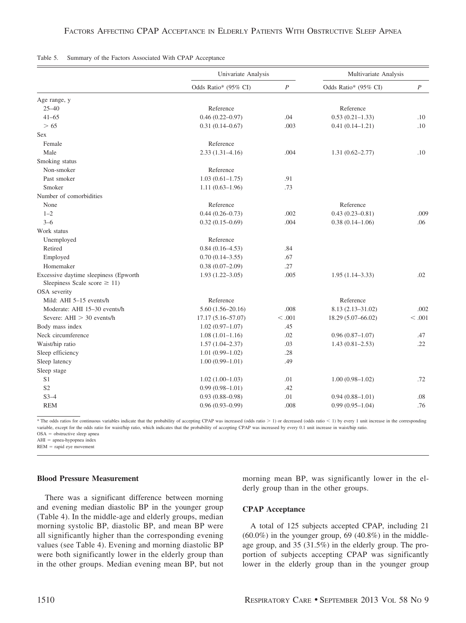|                                                                            | Univariate Analysis   |                  | Multivariate Analysis |                  |
|----------------------------------------------------------------------------|-----------------------|------------------|-----------------------|------------------|
|                                                                            | Odds Ratio* (95% CI)  | $\boldsymbol{P}$ | Odds Ratio* (95% CI)  | $\boldsymbol{P}$ |
| Age range, y                                                               |                       |                  |                       |                  |
| $25 - 40$                                                                  | Reference             |                  | Reference             |                  |
| $41 - 65$                                                                  | $0.46(0.22 - 0.97)$   | .04              | $0.53(0.21 - 1.33)$   | .10              |
| > 65                                                                       | $0.31(0.14 - 0.67)$   | .003             | $0.41(0.14 - 1.21)$   | .10              |
| Sex                                                                        |                       |                  |                       |                  |
| Female                                                                     | Reference             |                  |                       |                  |
| Male                                                                       | $2.33(1.31-4.16)$     | .004             | $1.31(0.62 - 2.77)$   | .10              |
| Smoking status                                                             |                       |                  |                       |                  |
| Non-smoker                                                                 | Reference             |                  |                       |                  |
| Past smoker                                                                | $1.03(0.61 - 1.75)$   | .91              |                       |                  |
| Smoker                                                                     | $1.11(0.63 - 1.96)$   | .73              |                       |                  |
| Number of comorbidities                                                    |                       |                  |                       |                  |
| None                                                                       | Reference             |                  | Reference             |                  |
| $1 - 2$                                                                    | $0.44(0.26 - 0.73)$   | .002             | $0.43(0.23 - 0.81)$   | .009             |
| $3 - 6$                                                                    | $0.32(0.15-0.69)$     | .004             | $0.38(0.14 - 1.06)$   | .06              |
| Work status                                                                |                       |                  |                       |                  |
| Unemployed                                                                 | Reference             |                  |                       |                  |
| Retired                                                                    | $0.84(0.16 - 4.53)$   | .84              |                       |                  |
| Employed                                                                   | $0.70(0.14 - 3.55)$   | .67              |                       |                  |
| Homemaker                                                                  | $0.38(0.07-2.09)$     | .27              |                       |                  |
| Excessive daytime sleepiness (Epworth<br>Sleepiness Scale score $\geq$ 11) | $1.93(1.22 - 3.05)$   | .005             | $1.95(1.14 - 3.33)$   | .02              |
| OSA severity                                                               |                       |                  |                       |                  |
| Mild: AHI 5-15 events/h                                                    | Reference             |                  | Reference             |                  |
| Moderate: AHI 15-30 events/h                                               | $5.60(1.56 - 20.16)$  | .008             | $8.13(2.13 - 31.02)$  | .002             |
| Severe: $AHI > 30$ events/h                                                | $17.17(5.16 - 57.07)$ | < 0.001          | 18.29 (5.07-66.02)    | < 0.001          |
| Body mass index                                                            | $1.02(0.97-1.07)$     | .45              |                       |                  |
| Neck circumference                                                         | $1.08(1.01-1.16)$     | .02              | $0.96(0.87-1.07)$     | .47              |
| Waist/hip ratio                                                            | $1.57(1.04 - 2.37)$   | .03              | $1.43(0.81 - 2.53)$   | .22              |
| Sleep efficiency                                                           | $1.01(0.99-1.02)$     | .28              |                       |                  |
| Sleep latency                                                              | $1.00(0.99 - 1.01)$   | .49              |                       |                  |
| Sleep stage                                                                |                       |                  |                       |                  |
| S1                                                                         | $1.02(1.00-1.03)$     | .01              | $1.00(0.98 - 1.02)$   | .72              |
| S <sub>2</sub>                                                             | $0.99(0.98 - 1.01)$   | .42              |                       |                  |
| $S3-4$                                                                     | $0.93(0.88 - 0.98)$   | .01              | $0.94(0.88 - 1.01)$   | .08              |
| <b>REM</b>                                                                 | $0.96(0.93 - 0.99)$   | .008             | $0.99(0.95 - 1.04)$   | .76              |

|  |  |  |  |  |  |  | Table 5. Summary of the Factors Associated With CPAP Acceptance |
|--|--|--|--|--|--|--|-----------------------------------------------------------------|
|--|--|--|--|--|--|--|-----------------------------------------------------------------|

\* The odds ratios for continuous variables indicate that the probability of accepting CPAP was increased (odds ratio - 1) or decreased (odds ratio 1) by every 1 unit increase in the corresponding variable, except for the odds ratio for waist/hip ratio, which indicates that the probability of accepting CPAP was increased by every 0.1 unit increase in waist/hip ratio.

OSA = obstructive sleep apnea

 $AHI =$  apnea-hypopnea index

 $REM = rapid eye movement$ 

# **Blood Pressure Measurement**

There was a significant difference between morning and evening median diastolic BP in the younger group (Table 4). In the middle-age and elderly groups, median morning systolic BP, diastolic BP, and mean BP were all significantly higher than the corresponding evening values (see Table 4). Evening and morning diastolic BP were both significantly lower in the elderly group than in the other groups. Median evening mean BP, but not morning mean BP, was significantly lower in the elderly group than in the other groups.

# **CPAP Acceptance**

A total of 125 subjects accepted CPAP, including 21  $(60.0\%)$  in the younger group, 69  $(40.8\%)$  in the middleage group, and 35 (31.5%) in the elderly group. The proportion of subjects accepting CPAP was significantly lower in the elderly group than in the younger group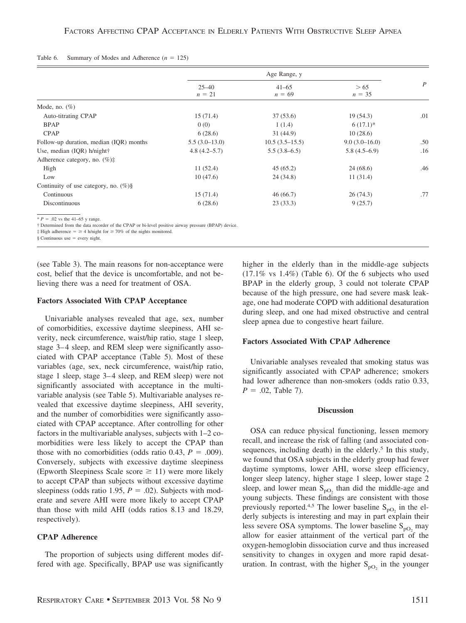#### Table 6. Summary of Modes and Adherence  $(n = 125)$

|                                         | Age Range, y          |                       |                  |                  |
|-----------------------------------------|-----------------------|-----------------------|------------------|------------------|
|                                         | $25 - 40$<br>$n = 21$ | $41 - 65$<br>$n = 69$ | > 65<br>$n = 35$ | $\boldsymbol{P}$ |
| Mode, no. $(\%)$                        |                       |                       |                  |                  |
| Auto-titrating CPAP                     | 15(71.4)              | 37(53.6)              | 19(54.3)         | .01              |
| <b>BPAP</b>                             | 0(0)                  | 1(1.4)                | $6(17.1)^*$      |                  |
| <b>CPAP</b>                             | 6(28.6)               | 31(44.9)              | 10(28.6)         |                  |
| Follow-up duration, median (IQR) months | $5.5(3.0-13.0)$       | $10.5(3.5-15.5)$      | $9.0(3.0-16.0)$  | .50              |
| Use, median (IQR) h/night†              | $4.8(4.2 - 5.7)$      | $5.5(3.8-6.5)$        | $5.8(4.5-6.9)$   | .16              |
| Adherence category, no. $(\%)$ :        |                       |                       |                  |                  |
| High                                    | 11(52.4)              | 45(65.2)              | 24(68.6)         | .46              |
| Low                                     | 10(47.6)              | 24(34.8)              | 11(31.4)         |                  |
| Continuity of use category, no. $(\%)\$ |                       |                       |                  |                  |
| Continuous                              | 15(71.4)              | 46(66.7)              | 26(74.3)         | .77              |
| Discontinuous                           | 6(28.6)               | 23(33.3)              | 9(25.7)          |                  |

 $* P = .02$  vs the 41–65 y range.

† Determined from the data recorder of the CPAP or bi-level positive airway pressure (BPAP) device.

 $\ddagger$  High adherence =  $\geq$  4 h/night for  $\geq$  70% of the nights monitored.

§ Continuous use every night.

(see Table 3). The main reasons for non-acceptance were cost, belief that the device is uncomfortable, and not believing there was a need for treatment of OSA.

#### **Factors Associated With CPAP Acceptance**

Univariable analyses revealed that age, sex, number of comorbidities, excessive daytime sleepiness, AHI severity, neck circumference, waist/hip ratio, stage 1 sleep, stage 3–4 sleep, and REM sleep were significantly associated with CPAP acceptance (Table 5). Most of these variables (age, sex, neck circumference, waist/hip ratio, stage 1 sleep, stage 3–4 sleep, and REM sleep) were not significantly associated with acceptance in the multivariable analysis (see Table 5). Multivariable analyses revealed that excessive daytime sleepiness, AHI severity, and the number of comorbidities were significantly associated with CPAP acceptance. After controlling for other factors in the multivariable analyses, subjects with 1–2 comorbidities were less likely to accept the CPAP than those with no comorbidities (odds ratio 0.43,  $P = .009$ ). Conversely, subjects with excessive daytime sleepiness (Epworth Sleepiness Scale score  $\geq$  11) were more likely to accept CPAP than subjects without excessive daytime sleepiness (odds ratio 1.95,  $P = .02$ ). Subjects with moderate and severe AHI were more likely to accept CPAP than those with mild AHI (odds ratios 8.13 and 18.29, respectively).

# **CPAP Adherence**

The proportion of subjects using different modes differed with age. Specifically, BPAP use was significantly higher in the elderly than in the middle-age subjects  $(17.1\% \text{ vs } 1.4\%)$  (Table 6). Of the 6 subjects who used BPAP in the elderly group, 3 could not tolerate CPAP because of the high pressure, one had severe mask leakage, one had moderate COPD with additional desaturation during sleep, and one had mixed obstructive and central sleep apnea due to congestive heart failure.

#### **Factors Associated With CPAP Adherence**

Univariable analyses revealed that smoking status was significantly associated with CPAP adherence; smokers had lower adherence than non-smokers (odds ratio 0.33,  $P = .02$ , Table 7).

#### **Discussion**

OSA can reduce physical functioning, lessen memory recall, and increase the risk of falling (and associated consequences, including death) in the elderly.<sup>5</sup> In this study, we found that OSA subjects in the elderly group had fewer daytime symptoms, lower AHI, worse sleep efficiency, longer sleep latency, higher stage 1 sleep, lower stage 2 sleep, and lower mean  $S_{pQ_2}$  than did the middle-age and young subjects. These findings are consistent with those previously reported.<sup>4,5</sup> The lower baseline  $S_{pQ_2}$  in the elderly subjects is interesting and may in part explain their less severe OSA symptoms. The lower baseline  $S_{pQ_2}$  may allow for easier attainment of the vertical part of the oxygen-hemoglobin dissociation curve and thus increased sensitivity to changes in oxygen and more rapid desaturation. In contrast, with the higher  $S_{pO_2}$  in the younger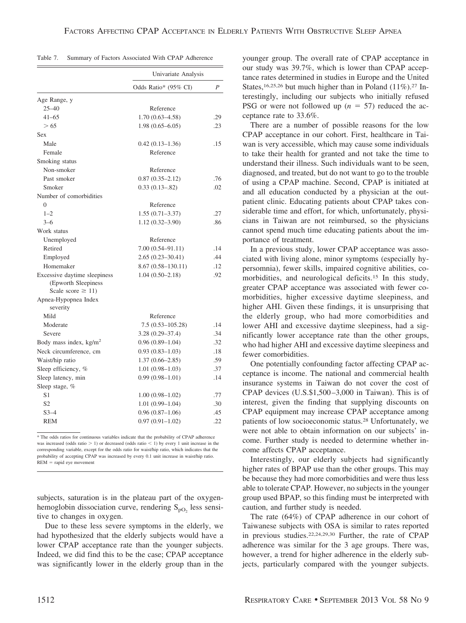| Table 7. |  |  |  | Summary of Factors Associated With CPAP Adherence |  |  |  |
|----------|--|--|--|---------------------------------------------------|--|--|--|
|----------|--|--|--|---------------------------------------------------|--|--|--|

|                                                                               | Univariate Analysis  |                  |
|-------------------------------------------------------------------------------|----------------------|------------------|
|                                                                               | Odds Ratio* (95% CI) | $\boldsymbol{P}$ |
| Age Range, y                                                                  |                      |                  |
| $25 - 40$                                                                     | Reference            |                  |
| $41 - 65$                                                                     | $1.70(0.63 - 4.58)$  | .29              |
| > 65                                                                          | $1.98(0.65 - 6.05)$  | .23              |
| Sex                                                                           |                      |                  |
| Male                                                                          | $0.42(0.13 - 1.36)$  | .15              |
| Female                                                                        | Reference            |                  |
| Smoking status                                                                |                      |                  |
| Non-smoker                                                                    | Reference            |                  |
| Past smoker                                                                   | $0.87(0.35 - 2.12)$  | .76              |
| Smoker                                                                        | $0.33(0.13 - 82)$    | .02              |
| Number of comorbidities                                                       |                      |                  |
| $\Omega$                                                                      | Reference            |                  |
| $1 - 2$                                                                       | $1.55(0.71 - 3.37)$  | .27              |
| $3 - 6$                                                                       | $1.12(0.32 - 3.90)$  | .86              |
| Work status                                                                   |                      |                  |
| Unemployed                                                                    | Reference            |                  |
| Retired                                                                       | $7.00(0.54 - 91.11)$ | .14              |
| Employed                                                                      | $2.65(0.23 - 30.41)$ | .44              |
| Homemaker                                                                     | 8.67 (0.58–130.11)   | .12              |
| Excessive daytime sleepiness<br>(Epworth Sleepiness<br>Scale score $\geq$ 11) | $1.04(0.50 - 2.18)$  | .92              |
| Apnea-Hypopnea Index<br>severity                                              |                      |                  |
| Mild                                                                          | Reference            |                  |
| Moderate                                                                      | $7.5(0.53 - 105.28)$ | .14              |
| Severe                                                                        | $3.28(0.29 - 37.4)$  | .34              |
| Body mass index, $\text{kg/m}^2$                                              | $0.96(0.89 - 1.04)$  | .32              |
| Neck circumference, cm                                                        | $0.93(0.83 - 1.03)$  | .18              |
| Waist/hip ratio                                                               | $1.37(0.66 - 2.85)$  | .59              |
| Sleep efficiency, %                                                           | $1.01(0.98-1.03)$    | .37              |
| Sleep latency, min                                                            | $0.99(0.98 - 1.01)$  | .14              |
| Sleep stage, %                                                                |                      |                  |
| S1                                                                            | $1.00(0.98-1.02)$    | .77              |
| S <sub>2</sub>                                                                | $1.01(0.99 - 1.04)$  | .30              |
| $S3-4$                                                                        | $0.96(0.87-1.06)$    | .45              |
| <b>REM</b>                                                                    | $0.97(0.91 - 1.02)$  | .22              |

\* The odds ratios for continuous variables indicate that the probability of CPAP adherence was increased (odds ratio  $> 1$ ) or decreased (odds ratio  $< 1$ ) by every 1 unit increase in the corresponding variable, except for the odds ratio for waist/hip ratio, which indicates that the probability of accepting CPAP was increased by every 0.1 unit increase in waist/hip ratio.  $REM =$ rapid eye movement

subjects, saturation is in the plateau part of the oxygenhemoglobin dissociation curve, rendering  $S_{pQ}$  less sensitive to changes in oxygen.

Due to these less severe symptoms in the elderly, we had hypothesized that the elderly subjects would have a lower CPAP acceptance rate than the younger subjects. Indeed, we did find this to be the case; CPAP acceptance was significantly lower in the elderly group than in the younger group. The overall rate of CPAP acceptance in our study was 39.7%, which is lower than CPAP acceptance rates determined in studies in Europe and the United States,<sup>16,25,26</sup> but much higher than in Poland  $(11\%)$ .<sup>27</sup> Interestingly, including our subjects who initially refused PSG or were not followed up  $(n = 57)$  reduced the acceptance rate to 33.6%.

There are a number of possible reasons for the low CPAP acceptance in our cohort. First, healthcare in Taiwan is very accessible, which may cause some individuals to take their health for granted and not take the time to understand their illness. Such individuals want to be seen, diagnosed, and treated, but do not want to go to the trouble of using a CPAP machine. Second, CPAP is initiated at and all education conducted by a physician at the outpatient clinic. Educating patients about CPAP takes considerable time and effort, for which, unfortunately, physicians in Taiwan are not reimbursed, so the physicians cannot spend much time educating patients about the importance of treatment.

In a previous study, lower CPAP acceptance was associated with living alone, minor symptoms (especially hypersomnia), fewer skills, impaired cognitive abilities, comorbidities, and neurological deficits.<sup>15</sup> In this study, greater CPAP acceptance was associated with fewer comorbidities, higher excessive daytime sleepiness, and higher AHI. Given these findings, it is unsurprising that the elderly group, who had more comorbidities and lower AHI and excessive daytime sleepiness, had a significantly lower acceptance rate than the other groups, who had higher AHI and excessive daytime sleepiness and fewer comorbidities.

One potentially confounding factor affecting CPAP acceptance is income. The national and commercial health insurance systems in Taiwan do not cover the cost of CPAP devices (U.S.\$1,500 –3,000 in Taiwan). This is of interest, given the finding that supplying discounts on CPAP equipment may increase CPAP acceptance among patients of low socioeconomic status.28 Unfortunately, we were not able to obtain information on our subjects' income. Further study is needed to determine whether income affects CPAP acceptance.

Interestingly, our elderly subjects had significantly higher rates of BPAP use than the other groups. This may be because they had more comorbidities and were thus less able to tolerate CPAP. However, no subjects in the younger group used BPAP, so this finding must be interpreted with caution, and further study is needed.

The rate (64%) of CPAP adherence in our cohort of Taiwanese subjects with OSA is similar to rates reported in previous studies.22,24,29,30 Further, the rate of CPAP adherence was similar for the 3 age groups. There was, however, a trend for higher adherence in the elderly subjects, particularly compared with the younger subjects.